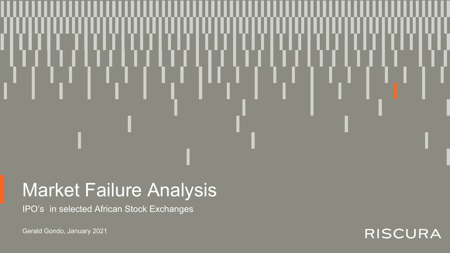## Market Failure Analysis

IPO's in selected African Stock Exchanges

Gerald Gondo, January 2021

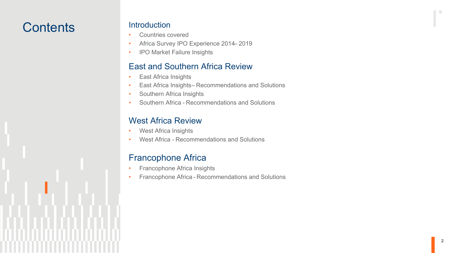## **Contents**

#### **Introduction**

- Countries covered
- Africa Survey IPO Experience 2014-2019
- IPO Market Failure Insights

#### East and Southern Africa Review

- East Africa Insights
- East Africa Insights-Recommendations and Solutions
- Southern Africa Insights
- Southern Africa Recommendations and Solutions

#### West Africa Review

- West Africa Insights
- West Africa Recommendations and Solutions

#### Francophone Africa

- Francophone Africa Insights
- Francophone Africa Recommendations and Solutions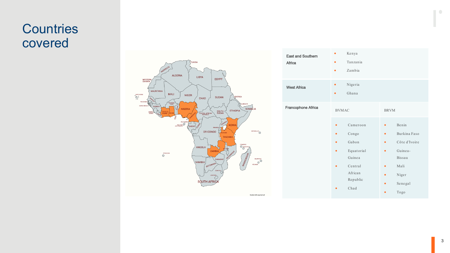## **Countries** covered



| <b>East and Southern</b><br>Africa | ٠<br>٠<br>٠                                                                                | Kenya<br>Tanzania<br>Zambia                                                                  |                                                                                                                     |                                                                                                 |
|------------------------------------|--------------------------------------------------------------------------------------------|----------------------------------------------------------------------------------------------|---------------------------------------------------------------------------------------------------------------------|-------------------------------------------------------------------------------------------------|
| <b>West Africa</b>                 | ٠<br>٠                                                                                     | Nigeria<br>Ghana                                                                             |                                                                                                                     |                                                                                                 |
| Francophone Africa                 | <b>BVMAC</b><br>$\bullet$<br>$\bullet$<br>$\bullet$<br>$\bullet$<br>$\bullet$<br>$\bullet$ | Cameroon<br>Congo<br>Gabon<br>Equatorial<br>Guinea<br>Central<br>African<br>Republic<br>Chad | <b>BRVM</b><br>$\bullet$<br>$\bullet$<br>$\bullet$<br>$\bullet$<br>$\bullet$<br>$\bullet$<br>$\bullet$<br>$\bullet$ | Benin<br>Burkina Faso<br>Côte d'Ivoire<br>Guinea-<br>Bissau<br>Mali<br>Niger<br>Senegal<br>Togo |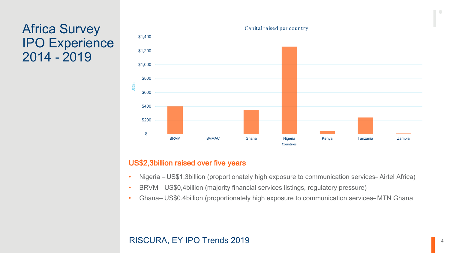## Africa Survey IPO Experience 2014 - 2019



#### US\$2,3billion raised over five years

- Nigeria US\$1,3billion (proportionately high exposure to communication services–Airtel Africa)
- BRVM US\$0,4billion (majority financial services listings, regulatory pressure)
- Ghana– US\$0.4billion (proportionately high exposure to communication services– MTN Ghana

#### RISCURA, EY IPO Trends 2019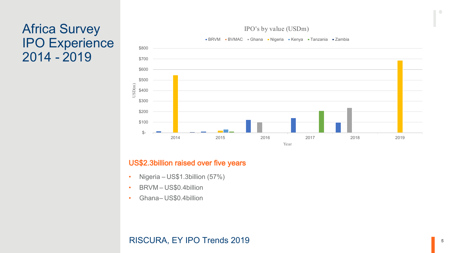## Africa Survey IPO Experience 2014 - 2019



#### IPO's by value (USDm)

#### US\$2.3billion raised over five years

- Nigeria US\$1.3billion (57%)
- BRVM US\$0.4billion
- Ghana-US\$0.4billion

#### RISCURA, EY IPO Trends 2019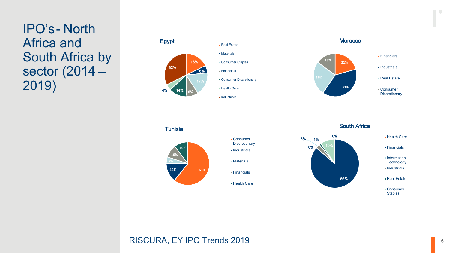IPO's - North Africa and South Africa by sector (2014 – 2019)





South Africa



#### RISCURA, EY IPO Trends 2019

**14% 61%**

Consumer **Discretionary Industrials** 

Materials

Financials

**Health Care** 

**10%**

**10%**

**Tunisia**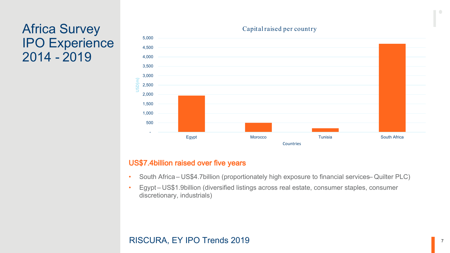## Africa Survey IPO Experience 2014 - 2019



#### Capital raised per country

#### US\$7.4billion raised over five years

- South Africa US\$4.7billion (proportionately high exposure to financial services– Quilter PLC)
- Egypt US\$1.9billion (diversified listings across real estate, consumer staples, consumer discretionary, industrials)

#### RISCURA, EY IPO Trends 2019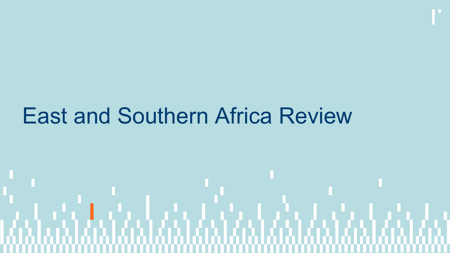# East and Southern Africa Review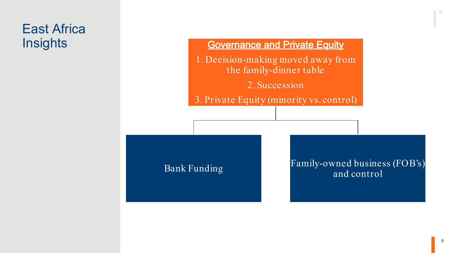# East Africa

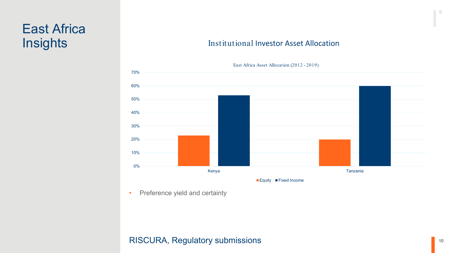## East Africa **Insights**



#### Institutional Investor Asset Allocation

• Preference yield and certainty

#### RISCURA, Regulatory submissions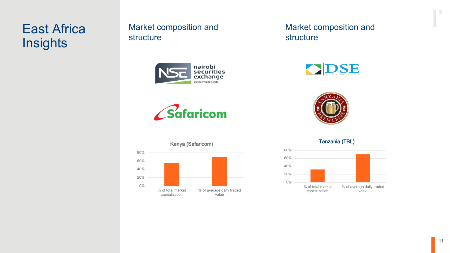## East Africa **Insights**

#### Market composition and structure





#### Market composition and structure





#### 0% 20% 40% 60% 80% % of total market capitalization % of average daily traded value Kenya (Safaricom)

Tanzania (TBL)

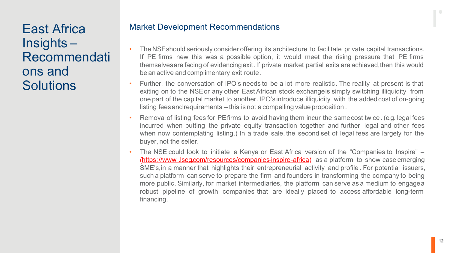East Africa Insights – Recommendati ons and **Solutions** 

#### Market Development Recommendations

- The NSEshould seriously consider offering its architecture to facilitate private capital transactions. If PE firms new this was a possible option, it would meet the rising pressure that PE firms themselvesare facing of evidencingexit.If private market partial exits are achieved,then this would be an active and complimentary exit route.
- Further, the conversation of IPO's needs to be a lot more realistic. The reality at present is that exiting on to the NSEor any other East African stock exchangeis simply switching illiquidity from one part of the capital market to another. IPO's introduce illiquidity with the addedcost of on-going listing feesand requirements – this is not a compelling value proposition .
- Removal of listing fees for PE firms to avoid having them incur the same cost twice. (e.g. legal fees incurred when putting the private equity transaction together and further legal and other fees when now contemplating listing.) In a trade sale, the second set of legal fees are largely for the buyer, not the seller.
- The NSE could look to initiate a Kenya or East Africa version of the "Companies to Inspire" (https://www[.lseg.com/resources/companies-inspire-africa\)](https://www.lseg.com/resources/companies-inspire-africa) as a platform to show case emerging SME's,in a manner that highlights their entrepreneurial activity and profile . For potential issuers, such a platform can serve to prepare the firm and founders in transforming the company to being more public. Similarly, for market intermediaries, the platform can serve as a medium to engagea robust pipeline of growth companies that are ideally placed to access affordable long-term financing.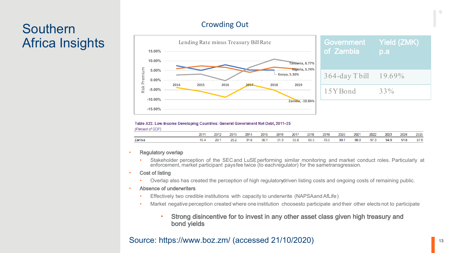## **Southern** Africa Insights

#### Crowding Out



#### Table A22. Low-Income Developing Countries: General Government Net Debt, 2011-25 (Percent of GDP)

| ---    |     |      |      |      |      |      |      |      |      |      |      |      |      |      |      |
|--------|-----|------|------|------|------|------|------|------|------|------|------|------|------|------|------|
|        | 201 | 2012 | 2013 | 2014 | 2015 | 2016 | 2017 | 2018 | 2019 | 2020 | 2021 | 2022 | 2023 | 2024 | 2025 |
| Zambia | w.  | 20.  |      |      | 56.  |      | 55.8 | 66.F | 76.  | 99.7 | 99.0 | Q72  | 94.9 | 91.8 | 87.9 |

#### **Regulatory overlap**

• Stakeholder perception of the SECand LuSEperforming similar monitoring and market conduct roles. Particularly at enforcement, market participant paysfee twice (to eachregulator) for the sametransgression.

#### Cost of listing

Overlap also has created the perception of high regulatory driven listing costs and on-going costs of remaining public.

#### Absence of underwriters

- Effectively two credible institutions with capacity to underwrite (NAPSAandAfLife)
- Market negative perception created where one institution choosesto participate and their other elects not to participate
	- Strong disincentive for to invest in any other asset class given high treasury and bond yields

#### Source: https://www.boz.zm/ (accessed 21/10/2020)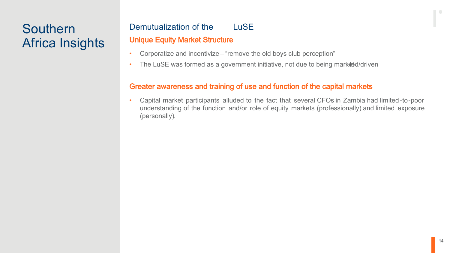## Southern Africa Insights

### Demutualization of the LuSE Unique Equity Market Structure

- Corporatize and incentivize "remove the old boys club perception"
- The LuSE was formed as a government initiative, not due to being market d/driven

#### Greater awareness and training of use and function of the capital markets

• Capital market participants alluded to the fact that several CFOs in Zambia had limited -to-poor understanding of the function and/or role of equity markets (professionally) and limited exposure (personally).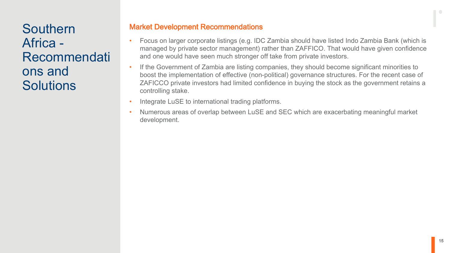Southern Africa - Recommendati ons and **Solutions** 

#### Market Development Recommendations

- Focus on larger corporate listings (e.g. IDC Zambia should have listed Indo Zambia Bank (which is managed by private sector management) rather than ZAFFICO. That would have given confidence and one would have seen much stronger off take from private investors.
- If the Government of Zambia are listing companies, they should become significant minorities to boost the implementation of effective (non-political) governance structures. For the recent case of ZAFICCO private investors had limited confidence in buying the stock as the government retains a controlling stake.
- Integrate LuSE to international trading platforms.
- Numerous areas of overlap between LuSE and SEC which are exacerbating meaningful market development.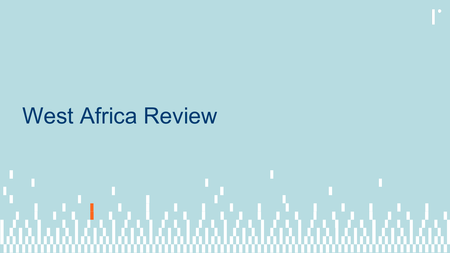# West Africa Review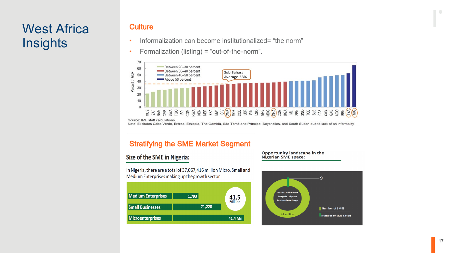## West Africa **Insights**

#### **Culture**

- Informalization can become institutionalized= "the norm"
- Formalization (listing) = "out-of-the-norm".



#### Stratifying the SME Market Segment

#### Size of the SME in Nigeria:

In Nigeria, there are a total of 37,067,416 million Micro, Small and Medium Enterprises making up the growth sector



Opportunity landscape in the Nigerian SME space:

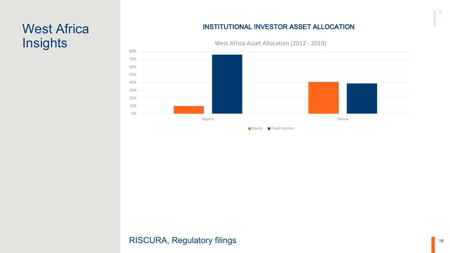# **Insights**

#### West Africa **INSTITUTIONAL INVESTOR ASSET ALLOCATION**



West Africa Asset Allocation (2012 - 2019)

#### RISCURA, Regulatory filings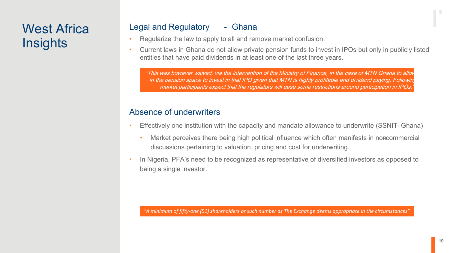## West Africa **Insights**

#### Legal and Regulatory - Ghana

- Regularize the law to apply to all and remove market confusion:
- Current laws in Ghana do not allow private pension funds to invest in IPOs but only in publicly listed entities that have paid dividends in at least one of the last three years.

*"*This was however waived, via the intervention of the Ministry of Finance, in the case of MTN Ghana to allow players in the pension space to invest in that IPO given that MTN is highly profitable and dividend paying. Following market participants expect that the regulators will ease some restrictions around participation in IPOs.

#### Absence of underwriters

- Effectively one institution with the capacity and mandate allowance to underwrite (SSNIT– Ghana)
	- Market perceives there being high political influence which often manifests in noncommercial discussions pertaining to valuation, pricing and cost for underwriting.
- In Nigeria, PFA's need to be recognized as representative of diversified investors as opposed to being a single investor.

*"A minimum of fifty-one (51) shareholders or such number as The Exchange deems appropriate in the circumstances"*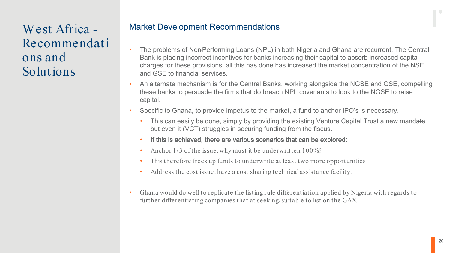West Africa - Recommendati ons and Solutions

#### Market Development Recommendations

- The problems of Non-Performing Loans (NPL) in both Nigeria and Ghana are recurrent. The Central Bank is placing incorrect incentives for banks increasing their capital to absorb increased capital charges for these provisions, all this has done has increased the market concentration of the NSE and GSE to financial services.
- An alternate mechanism is for the Central Banks, working alongside the NGSE and GSE, compelling these banks to persuade the firms that do breach NPL covenants to look to the NGSE to raise capital.
- Specific to Ghana, to provide impetus to the market, a fund to anchor IPO's is necessary.
	- This can easily be done, simply by providing the existing Venture Capital Trust a new mandate but even it (VCT) struggles in securing funding from the fiscus.
	- If this is achieved, there are various scenarios that can be explored:
	- Anchor 1/3 of the issue, why must it be underwritten 100%?
	- This therefore frees up funds to underwrite at least two more opportunities
	- Address the cost issue: have a cost sharing technical assistance facility.
- Ghana would do well to replicate the listing rule differentiation applied by Nigeria with regards to further differentiating companies that at seeking/suitable to list on the GAX.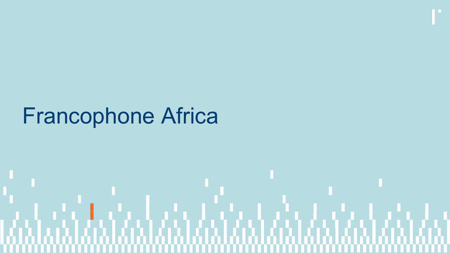# Francophone Africa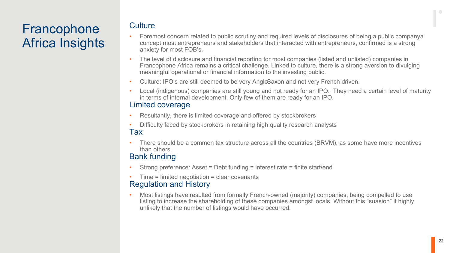## Francophone Africa Insights

#### **Culture**

- Foremost concern related to public scrutiny and required levels of disclosures of being a public company a concept most entrepreneurs and stakeholders that interacted with entrepreneurs, confirmed is a strong anxiety for most FOB's.
- The level of disclosure and financial reporting for most companies (listed and unlisted) companies in Francophone Africa remains a critical challenge. Linked to culture, there is a strong aversion to divulging meaningful operational or financial information to the investing public.
- Culture: IPO's are still deemed to be very AngleSaxon and not very French driven.
- Local (indigenous) companies are still young and not ready for an IPO. They need a certain level of maturity in terms of internal development. Only few of them are ready for an IPO.

#### Limited coverage

- Resultantly, there is limited coverage and offered by stockbrokers
- Difficulty faced by stockbrokers in retaining high quality research analysts Tax
- There should be a common tax structure across all the countries (BRVM), as some have more incentives than others.

#### Bank funding

- Strong preference: Asset = Debt funding = interest rate = finite start/end
- Time = limited negotiation = clear covenants

#### Regulation and History

• Most listings have resulted from formally French-owned (majority) companies, being compelled to use listing to increase the shareholding of these companies amongst locals. Without this "suasion" it highly unlikely that the number of listings would have occurred.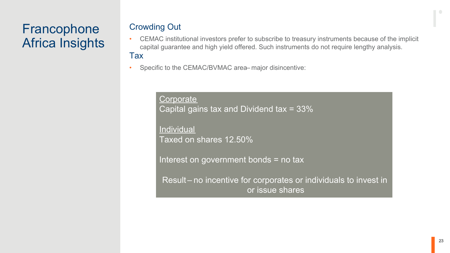## Francophone Africa Insights

#### Crowding Out

- CEMAC institutional investors prefer to subscribe to treasury instruments because of the implicit capital guarantee and high yield offered. Such instruments do not require lengthy analysis. Tax
- Specific to the CEMAC/BVMAC area major disincentive:

**Corporate** Capital gains tax and Dividend tax = 33%

**Individual** Taxed on shares 12.50%

Interest on government bonds = no tax

Result – no incentive for corporates or individuals to invest in or issue shares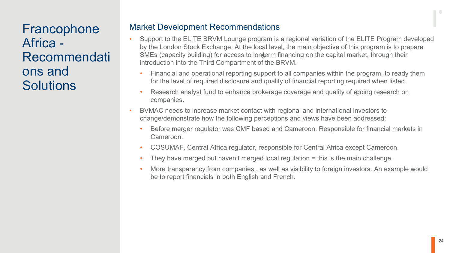Francophone Africa - Recommendati ons and **Solutions** 

#### Market Development Recommendations

- Support to the ELITE BRVM Lounge program is a regional variation of the ELITE Program developed by the London Stock Exchange. At the local level, the main objective of this program is to prepare SMEs (capacity building) for access to longerm financing on the capital market, through their introduction into the Third Compartment of the BRVM.
	- Financial and operational reporting support to all companies within the program, to ready them for the level of required disclosure and quality of financial reporting required when listed.
	- Research analyst fund to enhance brokerage coverage and quality of emping research on companies.
- BVMAC needs to increase market contact with regional and international investors to change/demonstrate how the following perceptions and views have been addressed:
	- Before merger regulator was CMF based and Cameroon. Responsible for financial markets in Cameroon.
	- COSUMAF, Central Africa regulator, responsible for Central Africa except Cameroon.
	- They have merged but haven't merged local regulation = this is the main challenge.
	- More transparency from companies , as well as visibility to foreign investors. An example would be to report financials in both English and French.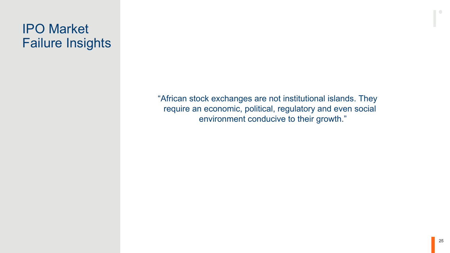## IPO Market Failure Insights

"African stock exchanges are not institutional islands. They require an economic, political, regulatory and even social environment conducive to their growth."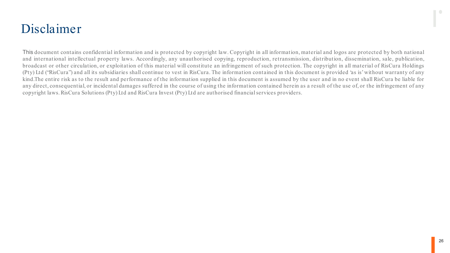## Disclaimer

This document contains confidential information and is protected by copyright law. Copyright in all information, material and logos are protected by both national and international intellectual property laws. Accordingly, any unauthorised copying, reproduction, retransmission, distribution, dissemination, sale, publication, broadcast or other circulation, or exploitation of this material will constitute an infringement of such protection. The copyright in all material of RisCura Holdings (Pty) Ltd ("RisCura") and all its subsidiaries shall continue to vest in RisCura. The information contained in this document is provided 'as is'without warranty of any kind.The entire risk as to the result and performance of the information supplied in this document is assumed by the user and in no event shall RisCura be liable for any direct, consequential, or incidental damages suffered in the course of using the information contained herein as a result of the use of, or the infringement of any copyright laws.RisCura Solutions (Pty) Ltd and RisCura Invest (Pty) Ltd are authorised financialservices providers.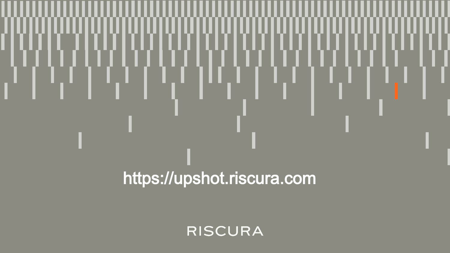# https://upshot.riscura.com